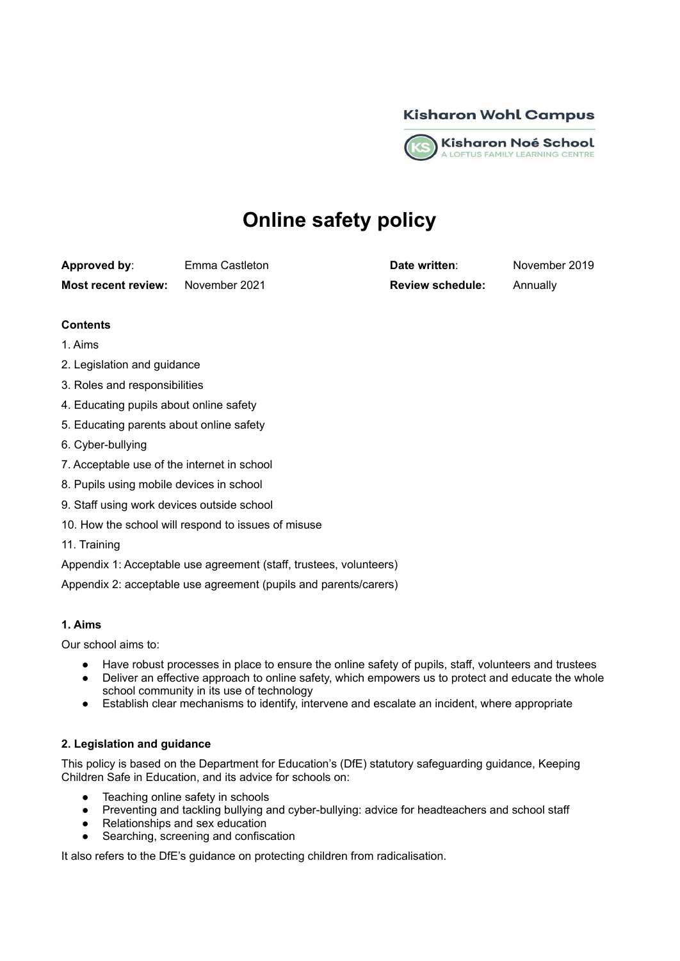



# **Online safety policy**

**Approved by**: Emma Castleton **Date written**: November 2019 **Most recent review:** November 2021 **Review schedule:** Annually

# **Contents**

- 1. Aims
- 2. Legislation and guidance
- 3. Roles and responsibilities
- 4. Educating pupils about online safety
- 5. Educating parents about online safety
- 6. Cyber-bullying
- 7. Acceptable use of the internet in school
- 8. Pupils using mobile devices in school
- 9. Staff using work devices outside school
- 10. How the school will respond to issues of misuse
- 11. Training
- Appendix 1: Acceptable use agreement (staff, trustees, volunteers)

Appendix 2: acceptable use agreement (pupils and parents/carers)

## **1. Aims**

Our school aims to:

- Have robust processes in place to ensure the online safety of pupils, staff, volunteers and trustees
- Deliver an effective approach to online safety, which empowers us to protect and educate the whole school community in its use of technology
- Establish clear mechanisms to identify, intervene and escalate an incident, where appropriate

# **2. Legislation and guidance**

This policy is based on the Department for Education's (DfE) statutory safeguarding guidance, Keeping Children Safe in Education, and its advice for schools on:

- Teaching online safety in schools
- Preventing and tackling bullying and cyber-bullying: advice for headteachers and school staff
- Relationships and sex education
- Searching, screening and confiscation

It also refers to the DfE's guidance on protecting children from radicalisation.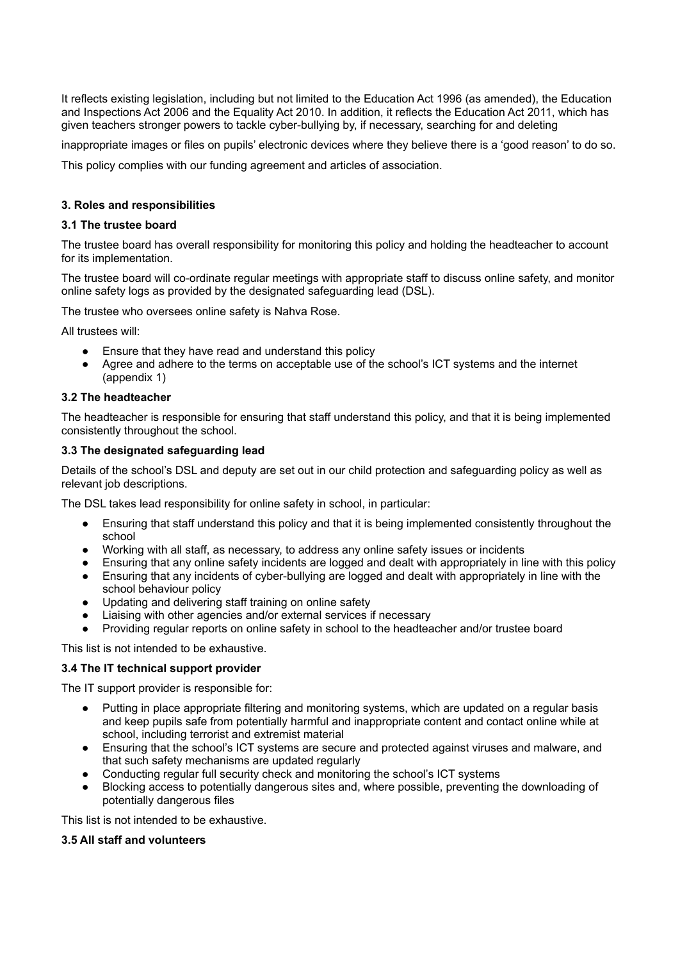It reflects existing legislation, including but not limited to the Education Act 1996 (as amended), the Education and Inspections Act 2006 and the Equality Act 2010. In addition, it reflects the Education Act 2011, which has given teachers stronger powers to tackle cyber-bullying by, if necessary, searching for and deleting

inappropriate images or files on pupils' electronic devices where they believe there is a 'good reason' to do so.

This policy complies with our funding agreement and articles of association.

## **3. Roles and responsibilities**

### **3.1 The trustee board**

The trustee board has overall responsibility for monitoring this policy and holding the headteacher to account for its implementation.

The trustee board will co-ordinate regular meetings with appropriate staff to discuss online safety, and monitor online safety logs as provided by the designated safeguarding lead (DSL).

The trustee who oversees online safety is Nahva Rose.

All trustees will:

- Ensure that they have read and understand this policy
- Agree and adhere to the terms on acceptable use of the school's ICT systems and the internet (appendix 1)

## **3.2 The headteacher**

The headteacher is responsible for ensuring that staff understand this policy, and that it is being implemented consistently throughout the school.

## **3.3 The designated safeguarding lead**

Details of the school's DSL and deputy are set out in our child protection and safeguarding policy as well as relevant job descriptions.

The DSL takes lead responsibility for online safety in school, in particular:

- Ensuring that staff understand this policy and that it is being implemented consistently throughout the school
- Working with all staff, as necessary, to address any online safety issues or incidents
- Ensuring that any online safety incidents are logged and dealt with appropriately in line with this policy
- Ensuring that any incidents of cyber-bullying are logged and dealt with appropriately in line with the school behaviour policy
- Updating and delivering staff training on online safety
- Liaising with other agencies and/or external services if necessary
- Providing regular reports on online safety in school to the headteacher and/or trustee board

This list is not intended to be exhaustive.

#### **3.4 The IT technical support provider**

The IT support provider is responsible for:

- Putting in place appropriate filtering and monitoring systems, which are updated on a regular basis and keep pupils safe from potentially harmful and inappropriate content and contact online while at school, including terrorist and extremist material
- Ensuring that the school's ICT systems are secure and protected against viruses and malware, and that such safety mechanisms are updated regularly
- Conducting regular full security check and monitoring the school's ICT systems
- Blocking access to potentially dangerous sites and, where possible, preventing the downloading of potentially dangerous files

This list is not intended to be exhaustive.

#### **3.5 All staff and volunteers**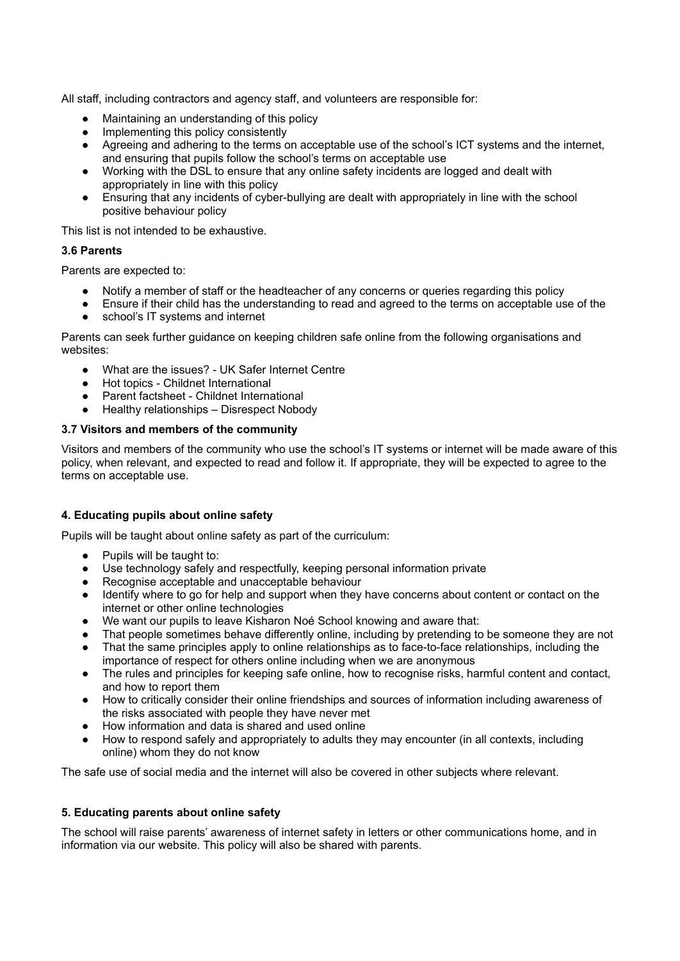All staff, including contractors and agency staff, and volunteers are responsible for:

- Maintaining an understanding of this policy
- Implementing this policy consistently
- Agreeing and adhering to the terms on acceptable use of the school's ICT systems and the internet, and ensuring that pupils follow the school's terms on acceptable use
- Working with the DSL to ensure that any online safety incidents are logged and dealt with appropriately in line with this policy
- Ensuring that any incidents of cyber-bullying are dealt with appropriately in line with the school positive behaviour policy

This list is not intended to be exhaustive.

## **3.6 Parents**

Parents are expected to:

- Notify a member of staff or the headteacher of any concerns or queries regarding this policy
- Ensure if their child has the understanding to read and agreed to the terms on acceptable use of the
- school's IT systems and internet

Parents can seek further guidance on keeping children safe online from the following organisations and websites:

- What are the issues? UK Safer Internet Centre
- Hot topics Childnet International
- Parent factsheet Childnet International
- Healthy relationships Disrespect Nobody

## **3.7 Visitors and members of the community**

Visitors and members of the community who use the school's IT systems or internet will be made aware of this policy, when relevant, and expected to read and follow it. If appropriate, they will be expected to agree to the terms on acceptable use.

## **4. Educating pupils about online safety**

Pupils will be taught about online safety as part of the curriculum:

- Pupils will be taught to:
- Use technology safely and respectfully, keeping personal information private
- Recognise acceptable and unacceptable behaviour
- Identify where to go for help and support when they have concerns about content or contact on the internet or other online technologies
- We want our pupils to leave Kisharon Noé School knowing and aware that:
- That people sometimes behave differently online, including by pretending to be someone they are not
- That the same principles apply to online relationships as to face-to-face relationships, including the importance of respect for others online including when we are anonymous
- The rules and principles for keeping safe online, how to recognise risks, harmful content and contact, and how to report them
- How to critically consider their online friendships and sources of information including awareness of the risks associated with people they have never met
- How information and data is shared and used online
- How to respond safely and appropriately to adults they may encounter (in all contexts, including online) whom they do not know

The safe use of social media and the internet will also be covered in other subjects where relevant.

## **5. Educating parents about online safety**

The school will raise parents' awareness of internet safety in letters or other communications home, and in information via our website. This policy will also be shared with parents.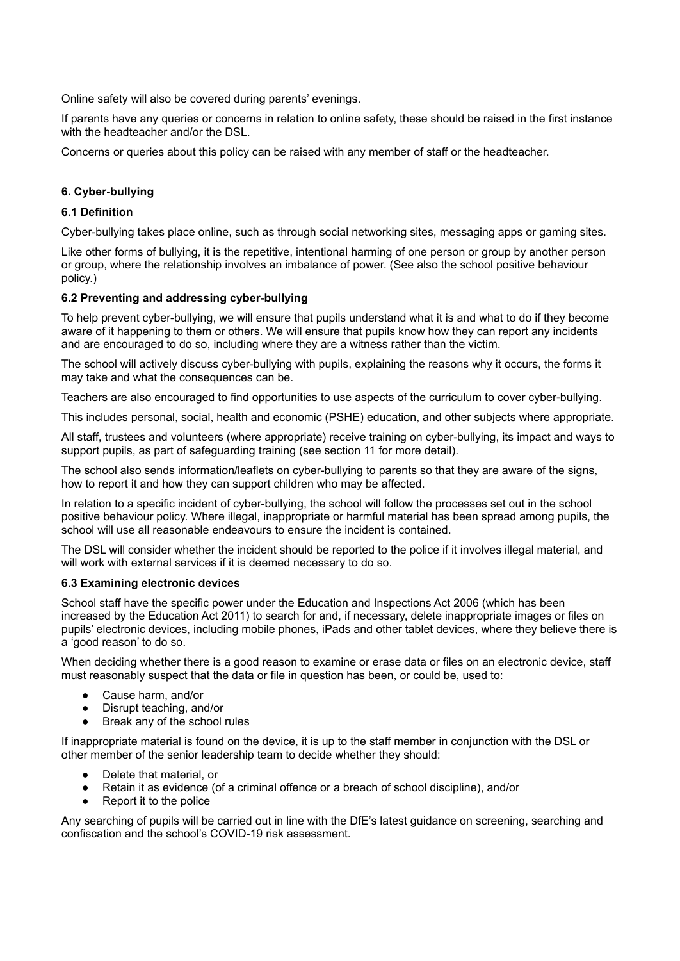Online safety will also be covered during parents' evenings.

If parents have any queries or concerns in relation to online safety, these should be raised in the first instance with the headteacher and/or the DSL.

Concerns or queries about this policy can be raised with any member of staff or the headteacher.

# **6. Cyber-bullying**

## **6.1 Definition**

Cyber-bullying takes place online, such as through social networking sites, messaging apps or gaming sites.

Like other forms of bullying, it is the repetitive, intentional harming of one person or group by another person or group, where the relationship involves an imbalance of power. (See also the school positive behaviour policy.)

## **6.2 Preventing and addressing cyber-bullying**

To help prevent cyber-bullying, we will ensure that pupils understand what it is and what to do if they become aware of it happening to them or others. We will ensure that pupils know how they can report any incidents and are encouraged to do so, including where they are a witness rather than the victim.

The school will actively discuss cyber-bullying with pupils, explaining the reasons why it occurs, the forms it may take and what the consequences can be.

Teachers are also encouraged to find opportunities to use aspects of the curriculum to cover cyber-bullying.

This includes personal, social, health and economic (PSHE) education, and other subjects where appropriate.

All staff, trustees and volunteers (where appropriate) receive training on cyber-bullying, its impact and ways to support pupils, as part of safeguarding training (see section 11 for more detail).

The school also sends information/leaflets on cyber-bullying to parents so that they are aware of the signs, how to report it and how they can support children who may be affected.

In relation to a specific incident of cyber-bullying, the school will follow the processes set out in the school positive behaviour policy. Where illegal, inappropriate or harmful material has been spread among pupils, the school will use all reasonable endeavours to ensure the incident is contained.

The DSL will consider whether the incident should be reported to the police if it involves illegal material, and will work with external services if it is deemed necessary to do so.

#### **6.3 Examining electronic devices**

School staff have the specific power under the Education and Inspections Act 2006 (which has been increased by the Education Act 2011) to search for and, if necessary, delete inappropriate images or files on pupils' electronic devices, including mobile phones, iPads and other tablet devices, where they believe there is a 'good reason' to do so.

When deciding whether there is a good reason to examine or erase data or files on an electronic device, staff must reasonably suspect that the data or file in question has been, or could be, used to:

- Cause harm, and/or
- Disrupt teaching, and/or
- Break any of the school rules

If inappropriate material is found on the device, it is up to the staff member in conjunction with the DSL or other member of the senior leadership team to decide whether they should:

- Delete that material, or
- Retain it as evidence (of a criminal offence or a breach of school discipline), and/or
- Report it to the police

Any searching of pupils will be carried out in line with the DfE's latest guidance on screening, searching and confiscation and the school's COVID-19 risk assessment.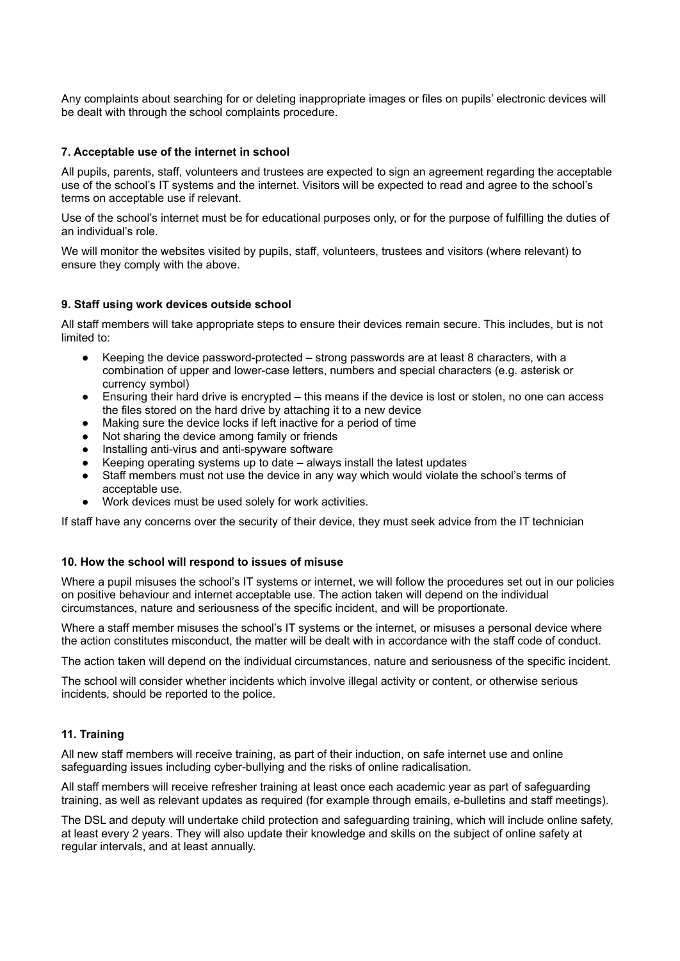Any complaints about searching for or deleting inappropriate images or files on pupils' electronic devices will be dealt with through the school complaints procedure.

### **7. Acceptable use of the internet in school**

All pupils, parents, staff, volunteers and trustees are expected to sign an agreement regarding the acceptable use of the school's IT systems and the internet. Visitors will be expected to read and agree to the school's terms on acceptable use if relevant.

Use of the school's internet must be for educational purposes only, or for the purpose of fulfilling the duties of an individual's role.

We will monitor the websites visited by pupils, staff, volunteers, trustees and visitors (where relevant) to ensure they comply with the above.

#### **9. Staff using work devices outside school**

All staff members will take appropriate steps to ensure their devices remain secure. This includes, but is not limited to:

- Keeping the device password-protected  $-$  strong passwords are at least 8 characters, with a combination of upper and lower-case letters, numbers and special characters (e.g. asterisk or currency symbol)
- Ensuring their hard drive is encrypted this means if the device is lost or stolen, no one can access the files stored on the hard drive by attaching it to a new device
- Making sure the device locks if left inactive for a period of time
- Not sharing the device among family or friends
- Installing anti-virus and anti-spyware software
- Keeping operating systems up to date  $-$  always install the latest updates
- Staff members must not use the device in any way which would violate the school's terms of acceptable use.
- Work devices must be used solely for work activities.

If staff have any concerns over the security of their device, they must seek advice from the IT technician

#### **10. How the school will respond to issues of misuse**

Where a pupil misuses the school's IT systems or internet, we will follow the procedures set out in our policies on positive behaviour and internet acceptable use. The action taken will depend on the individual circumstances, nature and seriousness of the specific incident, and will be proportionate.

Where a staff member misuses the school's IT systems or the internet, or misuses a personal device where the action constitutes misconduct, the matter will be dealt with in accordance with the staff code of conduct.

The action taken will depend on the individual circumstances, nature and seriousness of the specific incident.

The school will consider whether incidents which involve illegal activity or content, or otherwise serious incidents, should be reported to the police.

#### **11. Training**

All new staff members will receive training, as part of their induction, on safe internet use and online safeguarding issues including cyber-bullying and the risks of online radicalisation.

All staff members will receive refresher training at least once each academic year as part of safeguarding training, as well as relevant updates as required (for example through emails, e-bulletins and staff meetings).

The DSL and deputy will undertake child protection and safeguarding training, which will include online safety, at least every 2 years. They will also update their knowledge and skills on the subject of online safety at regular intervals, and at least annually.